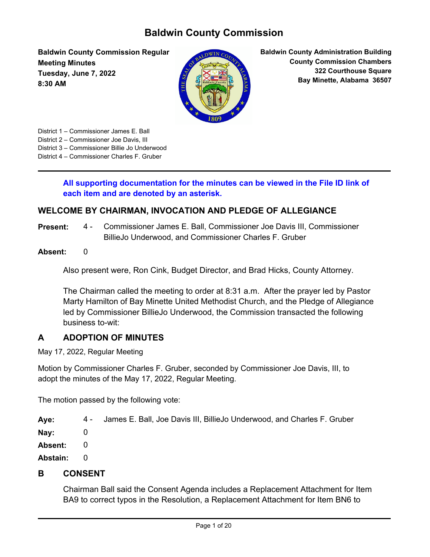# **Baldwin County Commission**

**Baldwin County Commission Regular Meeting Minutes Tuesday, June 7, 2022 8:30 AM**



**Baldwin County Administration Building County Commission Chambers 322 Courthouse Square Bay Minette, Alabama 36507**

- District 1 Commissioner James E. Ball
- District 2 Commissioner Joe Davis, III
- District 3 Commissioner Billie Jo Underwood
- District 4 Commissioner Charles F. Gruber

### **All supporting documentation for the minutes can be viewed in the File ID link of each item and are denoted by an asterisk.**

### **WELCOME BY CHAIRMAN, INVOCATION AND PLEDGE OF ALLEGIANCE**

- 4 Commissioner James E. Ball, Commissioner Joe Davis III, Commissioner BillieJo Underwood, and Commissioner Charles F. Gruber **Present:**
- **Absent:** 0

Also present were, Ron Cink, Budget Director, and Brad Hicks, County Attorney.

The Chairman called the meeting to order at 8:31 a.m. After the prayer led by Pastor Marty Hamilton of Bay Minette United Methodist Church, and the Pledge of Allegiance led by Commissioner BillieJo Underwood, the Commission transacted the following business to-wit:

### **A ADOPTION OF MINUTES**

May 17, 2022, Regular Meeting

Motion by Commissioner Charles F. Gruber, seconded by Commissioner Joe Davis, III, to adopt the minutes of the May 17, 2022, Regular Meeting.

The motion passed by the following vote:

- **Aye:** 4 James E. Ball, Joe Davis III, BillieJo Underwood, and Charles F. Gruber
- **Nay:** 0
- **Absent:** 0
- **Abstain:** 0

### **B CONSENT**

Chairman Ball said the Consent Agenda includes a Replacement Attachment for Item BA9 to correct typos in the Resolution, a Replacement Attachment for Item BN6 to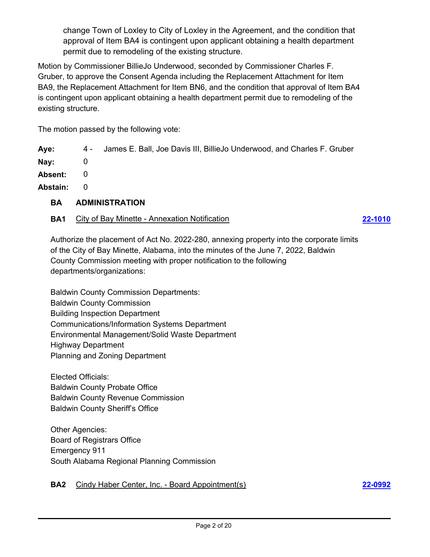change Town of Loxley to City of Loxley in the Agreement, and the condition that approval of Item BA4 is contingent upon applicant obtaining a health department permit due to remodeling of the existing structure.

Motion by Commissioner BillieJo Underwood, seconded by Commissioner Charles F. Gruber, to approve the Consent Agenda including the Replacement Attachment for Item BA9, the Replacement Attachment for Item BN6, and the condition that approval of Item BA4 is contingent upon applicant obtaining a health department permit due to remodeling of the existing structure.

The motion passed by the following vote:

**Aye:** 4 - James E. Ball, Joe Davis III, BillieJo Underwood, and Charles F. Gruber

**Nay:** 0

**Absent:** 0

**Abstain:** 0

### **BA ADMINISTRATION**

### **BA1** City of Bay Minette - Annexation Notification **[22-1010](http://baldwincountyal.legistar.com/gateway.aspx?m=l&id=/matter.aspx?key=23721)**

Authorize the placement of Act No. 2022-280, annexing property into the corporate limits of the City of Bay Minette, Alabama, into the minutes of the June 7, 2022, Baldwin County Commission meeting with proper notification to the following departments/organizations:

Baldwin County Commission Departments: Baldwin County Commission Building Inspection Department Communications/Information Systems Department Environmental Management/Solid Waste Department Highway Department Planning and Zoning Department

Elected Officials: Baldwin County Probate Office Baldwin County Revenue Commission Baldwin County Sheriff's Office

Other Agencies: Board of Registrars Office Emergency 911 South Alabama Regional Planning Commission

### **BA2** Cindy Haber Center, Inc. - Board Appointment(s) **[22-0992](http://baldwincountyal.legistar.com/gateway.aspx?m=l&id=/matter.aspx?key=23703)**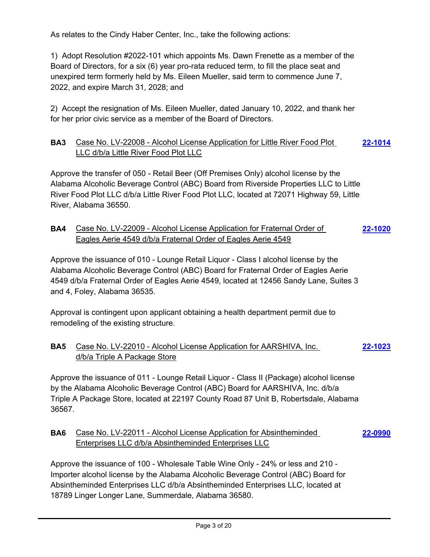As relates to the Cindy Haber Center, Inc., take the following actions:

1) Adopt Resolution #2022-101 which appoints Ms. Dawn Frenette as a member of the Board of Directors, for a six (6) year pro-rata reduced term, to fill the place seat and unexpired term formerly held by Ms. Eileen Mueller, said term to commence June 7, 2022, and expire March 31, 2028; and

2) Accept the resignation of Ms. Eileen Mueller, dated January 10, 2022, and thank her for her prior civic service as a member of the Board of Directors.

### **BA3** Case No. LV-22008 - Alcohol License Application for Little River Food Plot LLC d/b/a Little River Food Plot LLC **[22-1014](http://baldwincountyal.legistar.com/gateway.aspx?m=l&id=/matter.aspx?key=23725)**

Approve the transfer of 050 - Retail Beer (Off Premises Only) alcohol license by the Alabama Alcoholic Beverage Control (ABC) Board from Riverside Properties LLC to Little River Food Plot LLC d/b/a Little River Food Plot LLC, located at 72071 Highway 59, Little River, Alabama 36550.

#### **BA4** Case No. LV-22009 - Alcohol License Application for Fraternal Order of Eagles Aerie 4549 d/b/a Fraternal Order of Eagles Aerie 4549 **[22-1020](http://baldwincountyal.legistar.com/gateway.aspx?m=l&id=/matter.aspx?key=23731)**

Approve the issuance of 010 - Lounge Retail Liquor - Class I alcohol license by the Alabama Alcoholic Beverage Control (ABC) Board for Fraternal Order of Eagles Aerie 4549 d/b/a Fraternal Order of Eagles Aerie 4549, located at 12456 Sandy Lane, Suites 3 and 4, Foley, Alabama 36535.

Approval is contingent upon applicant obtaining a health department permit due to remodeling of the existing structure.

### **BA5** Case No. LV-22010 - Alcohol License Application for AARSHIVA, Inc. d/b/a Triple A Package Store **[22-1023](http://baldwincountyal.legistar.com/gateway.aspx?m=l&id=/matter.aspx?key=23734)**

Approve the issuance of 011 - Lounge Retail Liquor - Class II (Package) alcohol license by the Alabama Alcoholic Beverage Control (ABC) Board for AARSHIVA, Inc. d/b/a Triple A Package Store, located at 22197 County Road 87 Unit B, Robertsdale, Alabama 36567.

#### **BA6** Case No. LV-22011 - Alcohol License Application for Absintheminded Enterprises LLC d/b/a Absintheminded Enterprises LLC **[22-0990](http://baldwincountyal.legistar.com/gateway.aspx?m=l&id=/matter.aspx?key=23701)**

Approve the issuance of 100 - Wholesale Table Wine Only - 24% or less and 210 - Importer alcohol license by the Alabama Alcoholic Beverage Control (ABC) Board for Absintheminded Enterprises LLC d/b/a Absintheminded Enterprises LLC, located at 18789 Linger Longer Lane, Summerdale, Alabama 36580.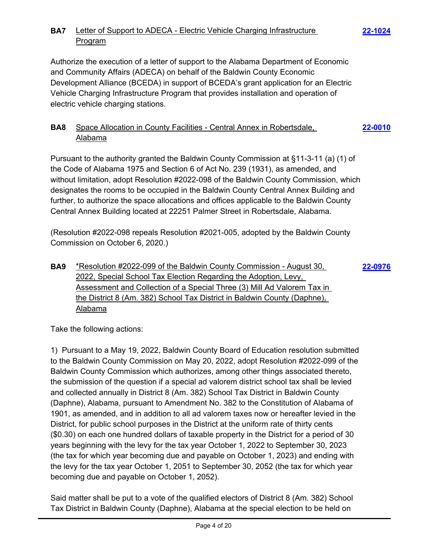### **BA7** Letter of Support to ADECA - Electric Vehicle Charging Infrastructure Program

Authorize the execution of a letter of support to the Alabama Department of Economic and Community Affairs (ADECA) on behalf of the Baldwin County Economic Development Alliance (BCEDA) in support of BCEDA's grant application for an Electric Vehicle Charging Infrastructure Program that provides installation and operation of electric vehicle charging stations.

#### **BA8** Space Allocation in County Facilities - Central Annex in Robertsdale, Alabama **[22-0010](http://baldwincountyal.legistar.com/gateway.aspx?m=l&id=/matter.aspx?key=21611)**

**[22-1024](http://baldwincountyal.legistar.com/gateway.aspx?m=l&id=/matter.aspx?key=23735)**

Pursuant to the authority granted the Baldwin County Commission at §11-3-11 (a) (1) of the Code of Alabama 1975 and Section 6 of Act No. 239 (1931), as amended, and without limitation, adopt Resolution #2022-098 of the Baldwin County Commission, which designates the rooms to be occupied in the Baldwin County Central Annex Building and further, to authorize the space allocations and offices applicable to the Baldwin County Central Annex Building located at 22251 Palmer Street in Robertsdale, Alabama.

(Resolution #2022-098 repeals Resolution #2021-005, adopted by the Baldwin County Commission on October 6, 2020.)

**BA9** \*Resolution #2022-099 of the Baldwin County Commission - August 30, 2022, Special School Tax Election Regarding the Adoption, Levy, Assessment and Collection of a Special Three (3) Mill Ad Valorem Tax in the District 8 (Am. 382) School Tax District in Baldwin County (Daphne), Alabama **[22-0976](http://baldwincountyal.legistar.com/gateway.aspx?m=l&id=/matter.aspx?key=23687)**

Take the following actions:

1) Pursuant to a May 19, 2022, Baldwin County Board of Education resolution submitted to the Baldwin County Commission on May 20, 2022, adopt Resolution #2022-099 of the Baldwin County Commission which authorizes, among other things associated thereto, the submission of the question if a special ad valorem district school tax shall be levied and collected annually in District 8 (Am. 382) School Tax District in Baldwin County (Daphne), Alabama, pursuant to Amendment No. 382 to the Constitution of Alabama of 1901, as amended, and in addition to all ad valorem taxes now or hereafter levied in the District, for public school purposes in the District at the uniform rate of thirty cents (\$0.30) on each one hundred dollars of taxable property in the District for a period of 30 years beginning with the levy for the tax year October 1, 2022 to September 30, 2023 (the tax for which year becoming due and payable on October 1, 2023) and ending with the levy for the tax year October 1, 2051 to September 30, 2052 (the tax for which year becoming due and payable on October 1, 2052).

Said matter shall be put to a vote of the qualified electors of District 8 (Am. 382) School Tax District in Baldwin County (Daphne), Alabama at the special election to be held on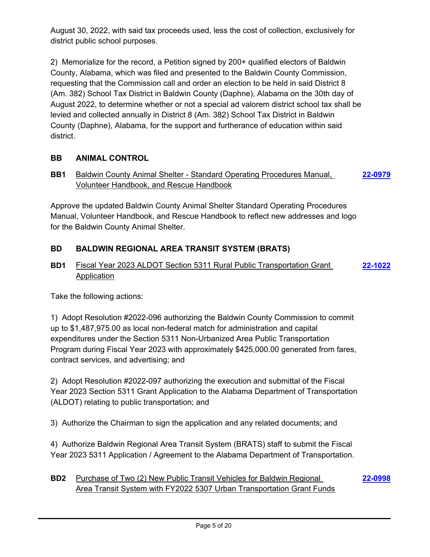August 30, 2022, with said tax proceeds used, less the cost of collection, exclusively for district public school purposes.

2) Memorialize for the record, a Petition signed by 200+ qualified electors of Baldwin County, Alabama, which was filed and presented to the Baldwin County Commission, requesting that the Commission call and order an election to be held in said District 8 (Am. 382) School Tax District in Baldwin County (Daphne), Alabama on the 30th day of August 2022, to determine whether or not a special ad valorem district school tax shall be levied and collected annually in District 8 (Am. 382) School Tax District in Baldwin County (Daphne), Alabama, for the support and furtherance of education within said district.

# **BB ANIMAL CONTROL**

**BB1** Baldwin County Animal Shelter - Standard Operating Procedures Manual, Volunteer Handbook, and Rescue Handbook **[22-0979](http://baldwincountyal.legistar.com/gateway.aspx?m=l&id=/matter.aspx?key=23690)**

Approve the updated Baldwin County Animal Shelter Standard Operating Procedures Manual, Volunteer Handbook, and Rescue Handbook to reflect new addresses and logo for the Baldwin County Animal Shelter.

# **BD BALDWIN REGIONAL AREA TRANSIT SYSTEM (BRATS)**

**BD1** Fiscal Year 2023 ALDOT Section 5311 Rural Public Transportation Grant Application **[22-1022](http://baldwincountyal.legistar.com/gateway.aspx?m=l&id=/matter.aspx?key=23733)**

Take the following actions:

1) Adopt Resolution #2022-096 authorizing the Baldwin County Commission to commit up to \$1,487,975.00 as local non-federal match for administration and capital expenditures under the Section 5311 Non-Urbanized Area Public Transportation Program during Fiscal Year 2023 with approximately \$425,000.00 generated from fares, contract services, and advertising; and

2) Adopt Resolution #2022-097 authorizing the execution and submittal of the Fiscal Year 2023 Section 5311 Grant Application to the Alabama Department of Transportation (ALDOT) relating to public transportation; and

3) Authorize the Chairman to sign the application and any related documents; and

4) Authorize Baldwin Regional Area Transit System (BRATS) staff to submit the Fiscal Year 2023 5311 Application / Agreement to the Alabama Department of Transportation.

#### **BD2** Purchase of Two (2) New Public Transit Vehicles for Baldwin Regional Area Transit System with FY2022 5307 Urban Transportation Grant Funds **[22-0998](http://baldwincountyal.legistar.com/gateway.aspx?m=l&id=/matter.aspx?key=23709)**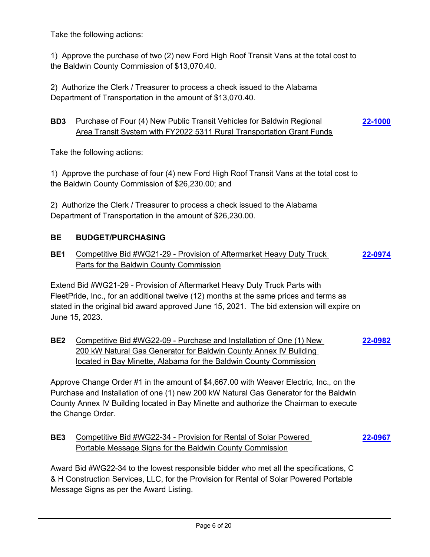Take the following actions:

1) Approve the purchase of two (2) new Ford High Roof Transit Vans at the total cost to the Baldwin County Commission of \$13,070.40.

2) Authorize the Clerk / Treasurer to process a check issued to the Alabama Department of Transportation in the amount of \$13,070.40.

#### **BD3** Purchase of Four (4) New Public Transit Vehicles for Baldwin Regional Area Transit System with FY2022 5311 Rural Transportation Grant Funds **[22-1000](http://baldwincountyal.legistar.com/gateway.aspx?m=l&id=/matter.aspx?key=23711)**

Take the following actions:

1) Approve the purchase of four (4) new Ford High Roof Transit Vans at the total cost to the Baldwin County Commission of \$26,230.00; and

2) Authorize the Clerk / Treasurer to process a check issued to the Alabama Department of Transportation in the amount of \$26,230.00.

# **BE BUDGET/PURCHASING**

**BE1** Competitive Bid #WG21-29 - Provision of Aftermarket Heavy Duty Truck Parts for the Baldwin County Commission **[22-0974](http://baldwincountyal.legistar.com/gateway.aspx?m=l&id=/matter.aspx?key=23685)**

Extend Bid #WG21-29 - Provision of Aftermarket Heavy Duty Truck Parts with FleetPride, Inc., for an additional twelve (12) months at the same prices and terms as stated in the original bid award approved June 15, 2021. The bid extension will expire on June 15, 2023.

**BE2** Competitive Bid #WG22-09 - Purchase and Installation of One (1) New 200 kW Natural Gas Generator for Baldwin County Annex IV Building located in Bay Minette, Alabama for the Baldwin County Commission **[22-0982](http://baldwincountyal.legistar.com/gateway.aspx?m=l&id=/matter.aspx?key=23693)**

Approve Change Order #1 in the amount of \$4,667.00 with Weaver Electric, Inc., on the Purchase and Installation of one (1) new 200 kW Natural Gas Generator for the Baldwin County Annex IV Building located in Bay Minette and authorize the Chairman to execute the Change Order.

| BE3 | Competitive Bid #WG22-34 - Provision for Rental of Solar Powered | 22-0967 |
|-----|------------------------------------------------------------------|---------|
|     | Portable Message Signs for the Baldwin County Commission         |         |

Award Bid #WG22-34 to the lowest responsible bidder who met all the specifications, C & H Construction Services, LLC, for the Provision for Rental of Solar Powered Portable Message Signs as per the Award Listing.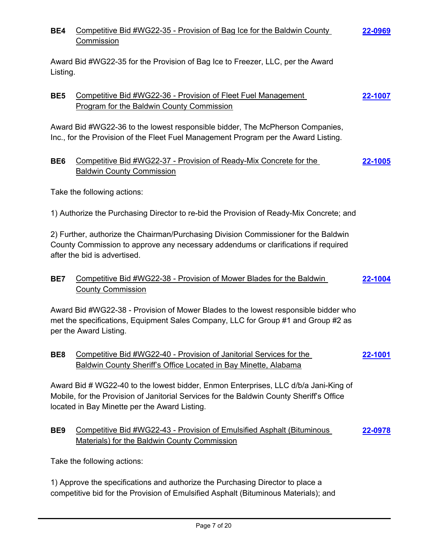| BE4             | Competitive Bid #WG22-35 - Provision of Bag Ice for the Baldwin County<br>Commission                                                                                                                                             | 22-0969        |
|-----------------|----------------------------------------------------------------------------------------------------------------------------------------------------------------------------------------------------------------------------------|----------------|
| Listing.        | Award Bid #WG22-35 for the Provision of Bag Ice to Freezer, LLC, per the Award                                                                                                                                                   |                |
| BE <sub>5</sub> | Competitive Bid #WG22-36 - Provision of Fleet Fuel Management<br><b>Program for the Baldwin County Commission</b>                                                                                                                | <u>22-1007</u> |
|                 | Award Bid #WG22-36 to the lowest responsible bidder, The McPherson Companies,<br>Inc., for the Provision of the Fleet Fuel Management Program per the Award Listing.                                                             |                |
| BE <sub>6</sub> | Competitive Bid #WG22-37 - Provision of Ready-Mix Concrete for the<br><b>Baldwin County Commission</b>                                                                                                                           | 22-1005        |
|                 | Take the following actions:                                                                                                                                                                                                      |                |
|                 | 1) Authorize the Purchasing Director to re-bid the Provision of Ready-Mix Concrete; and                                                                                                                                          |                |
|                 | 2) Further, authorize the Chairman/Purchasing Division Commissioner for the Baldwin<br>County Commission to approve any necessary addendums or clarifications if required<br>after the bid is advertised.                        |                |
| BE7             | Competitive Bid #WG22-38 - Provision of Mower Blades for the Baldwin<br><b>County Commission</b>                                                                                                                                 | 22-1004        |
|                 | Award Bid #WG22-38 - Provision of Mower Blades to the lowest responsible bidder who<br>met the specifications, Equipment Sales Company, LLC for Group #1 and Group #2 as<br>per the Award Listing.                               |                |
| BE <sub>8</sub> | Competitive Bid #WG22-40 - Provision of Janitorial Services for the<br><b>Baldwin County Sheriff's Office Located in Bay Minette, Alabama</b>                                                                                    | 22-1001        |
|                 | Award Bid # WG22-40 to the lowest bidder, Enmon Enterprises, LLC d/b/a Jani-King of<br>Mobile, for the Provision of Janitorial Services for the Baldwin County Sheriff's Office<br>located in Bay Minette per the Award Listing. |                |
| BE <sub>9</sub> | Competitive Bid #WG22-43 - Provision of Emulsified Asphalt (Bituminous<br><b>Materials) for the Baldwin County Commission</b>                                                                                                    | 22-0978        |
|                 | Take the following actions:                                                                                                                                                                                                      |                |
|                 | 1) Approve the specifications and authorize the Purchasing Director to place a<br>competitive bid for the Provision of Emulsified Asphalt (Bituminous Materials); and                                                            |                |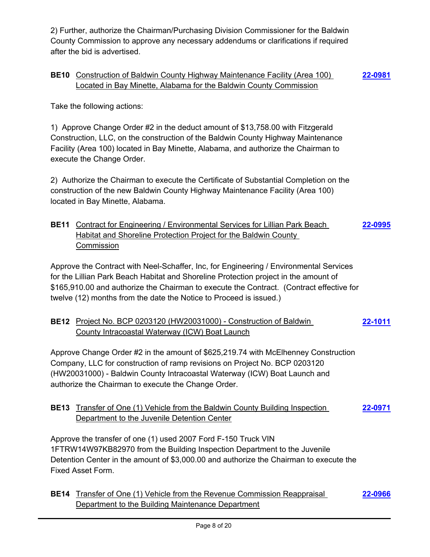2) Further, authorize the Chairman/Purchasing Division Commissioner for the Baldwin County Commission to approve any necessary addendums or clarifications if required after the bid is advertised.

#### **BE10** Construction of Baldwin County Highway Maintenance Facility (Area 100) Located in Bay Minette, Alabama for the Baldwin County Commission **[22-0981](http://baldwincountyal.legistar.com/gateway.aspx?m=l&id=/matter.aspx?key=23692)**

Take the following actions:

1) Approve Change Order #2 in the deduct amount of \$13,758.00 with Fitzgerald Construction, LLC, on the construction of the Baldwin County Highway Maintenance Facility (Area 100) located in Bay Minette, Alabama, and authorize the Chairman to execute the Change Order.

2) Authorize the Chairman to execute the Certificate of Substantial Completion on the construction of the new Baldwin County Highway Maintenance Facility (Area 100) located in Bay Minette, Alabama.

### **BE11** Contract for Engineering / Environmental Services for Lillian Park Beach Habitat and Shoreline Protection Project for the Baldwin County Commission **[22-0995](http://baldwincountyal.legistar.com/gateway.aspx?m=l&id=/matter.aspx?key=23706)**

Approve the Contract with Neel-Schaffer, Inc, for Engineering / Environmental Services for the Lillian Park Beach Habitat and Shoreline Protection project in the amount of \$165,910.00 and authorize the Chairman to execute the Contract. (Contract effective for twelve (12) months from the date the Notice to Proceed is issued.)

### **BE12** Project No. BCP 0203120 (HW20031000) - Construction of Baldwin County Intracoastal Waterway (ICW) Boat Launch **[22-1011](http://baldwincountyal.legistar.com/gateway.aspx?m=l&id=/matter.aspx?key=23722)**

Approve Change Order #2 in the amount of \$625,219.74 with McElhenney Construction Company, LLC for construction of ramp revisions on Project No. BCP 0203120 (HW20031000) - Baldwin County Intracoastal Waterway (ICW) Boat Launch and authorize the Chairman to execute the Change Order.

#### **BE13** Transfer of One (1) Vehicle from the Baldwin County Building Inspection Department to the Juvenile Detention Center **[22-0971](http://baldwincountyal.legistar.com/gateway.aspx?m=l&id=/matter.aspx?key=23682)**

Approve the transfer of one (1) used 2007 Ford F-150 Truck VIN 1FTRW14W97KB82970 from the Building Inspection Department to the Juvenile Detention Center in the amount of \$3,000.00 and authorize the Chairman to execute the Fixed Asset Form.

**BE14** Transfer of One (1) Vehicle from the Revenue Commission Reappraisal Department to the Building Maintenance Department **[22-0966](http://baldwincountyal.legistar.com/gateway.aspx?m=l&id=/matter.aspx?key=23677)**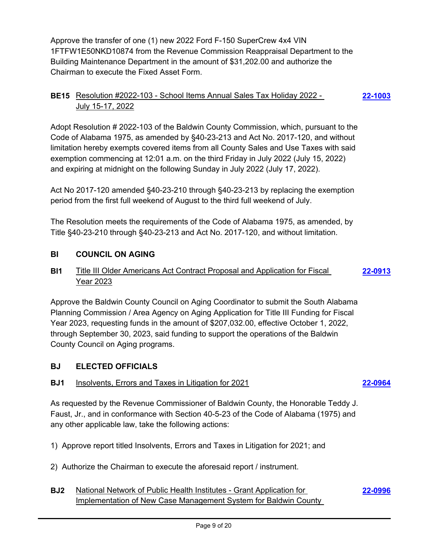Approve the transfer of one (1) new 2022 Ford F-150 SuperCrew 4x4 VIN 1FTFW1E50NKD10874 from the Revenue Commission Reappraisal Department to the Building Maintenance Department in the amount of \$31,202.00 and authorize the Chairman to execute the Fixed Asset Form.

#### **BE15** Resolution #2022-103 - School Items Annual Sales Tax Holiday 2022 - July 15-17, 2022 **[22-1003](http://baldwincountyal.legistar.com/gateway.aspx?m=l&id=/matter.aspx?key=23714)**

Adopt Resolution # 2022-103 of the Baldwin County Commission, which, pursuant to the Code of Alabama 1975, as amended by §40-23-213 and Act No. 2017-120, and without limitation hereby exempts covered items from all County Sales and Use Taxes with said exemption commencing at 12:01 a.m. on the third Friday in July 2022 (July 15, 2022) and expiring at midnight on the following Sunday in July 2022 (July 17, 2022).

Act No 2017-120 amended §40-23-210 through §40-23-213 by replacing the exemption period from the first full weekend of August to the third full weekend of July.

The Resolution meets the requirements of the Code of Alabama 1975, as amended, by Title §40-23-210 through §40-23-213 and Act No. 2017-120, and without limitation.

### **BI COUNCIL ON AGING**

#### **BI1** Title III Older Americans Act Contract Proposal and Application for Fiscal Year 2023 **[22-0913](http://baldwincountyal.legistar.com/gateway.aspx?m=l&id=/matter.aspx?key=23624)**

Approve the Baldwin County Council on Aging Coordinator to submit the South Alabama Planning Commission / Area Agency on Aging Application for Title III Funding for Fiscal Year 2023, requesting funds in the amount of \$207,032.00, effective October 1, 2022, through September 30, 2023, said funding to support the operations of the Baldwin County Council on Aging programs.

### **BJ ELECTED OFFICIALS**

### **BJ1** Insolvents, Errors and Taxes in Litigation for 2021 **[22-0964](http://baldwincountyal.legistar.com/gateway.aspx?m=l&id=/matter.aspx?key=23675)**

As requested by the Revenue Commissioner of Baldwin County, the Honorable Teddy J. Faust, Jr., and in conformance with Section 40-5-23 of the Code of Alabama (1975) and any other applicable law, take the following actions:

1) Approve report titled Insolvents, Errors and Taxes in Litigation for 2021; and

2) Authorize the Chairman to execute the aforesaid report / instrument.

### **BJ2** National Network of Public Health Institutes - Grant Application for Implementation of New Case Management System for Baldwin County

**[22-0996](http://baldwincountyal.legistar.com/gateway.aspx?m=l&id=/matter.aspx?key=23707)**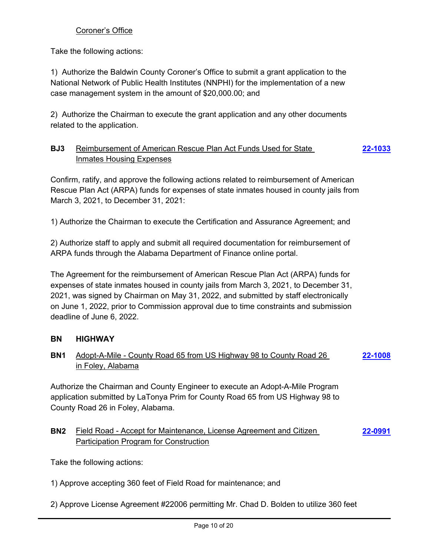### Coroner's Office

Take the following actions:

1) Authorize the Baldwin County Coroner's Office to submit a grant application to the National Network of Public Health Institutes (NNPHI) for the implementation of a new case management system in the amount of \$20,000.00; and

2) Authorize the Chairman to execute the grant application and any other documents related to the application.

#### **BJ3** Reimbursement of American Rescue Plan Act Funds Used for State Inmates Housing Expenses **[22-1033](http://baldwincountyal.legistar.com/gateway.aspx?m=l&id=/matter.aspx?key=23744)**

Confirm, ratify, and approve the following actions related to reimbursement of American Rescue Plan Act (ARPA) funds for expenses of state inmates housed in county jails from March 3, 2021, to December 31, 2021:

1) Authorize the Chairman to execute the Certification and Assurance Agreement; and

2) Authorize staff to apply and submit all required documentation for reimbursement of ARPA funds through the Alabama Department of Finance online portal.

The Agreement for the reimbursement of American Rescue Plan Act (ARPA) funds for expenses of state inmates housed in county jails from March 3, 2021, to December 31, 2021, was signed by Chairman on May 31, 2022, and submitted by staff electronically on June 1, 2022, prior to Commission approval due to time constraints and submission deadline of June 6, 2022.

### **BN HIGHWAY**

#### **BN1** Adopt-A-Mile - County Road 65 from US Highway 98 to County Road 26 in Foley, Alabama **[22-1008](http://baldwincountyal.legistar.com/gateway.aspx?m=l&id=/matter.aspx?key=23719)**

Authorize the Chairman and County Engineer to execute an Adopt-A-Mile Program application submitted by LaTonya Prim for County Road 65 from US Highway 98 to County Road 26 in Foley, Alabama.

#### **BN2** Field Road - Accept for Maintenance, License Agreement and Citizen Participation Program for Construction **[22-0991](http://baldwincountyal.legistar.com/gateway.aspx?m=l&id=/matter.aspx?key=23702)**

Take the following actions:

1) Approve accepting 360 feet of Field Road for maintenance; and

2) Approve License Agreement #22006 permitting Mr. Chad D. Bolden to utilize 360 feet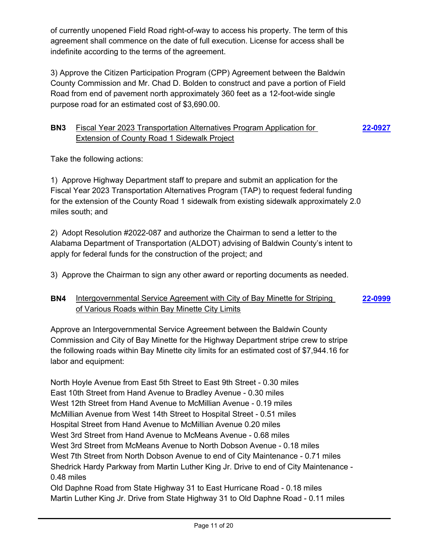of currently unopened Field Road right-of-way to access his property. The term of this agreement shall commence on the date of full execution. License for access shall be indefinite according to the terms of the agreement.

3) Approve the Citizen Participation Program (CPP) Agreement between the Baldwin County Commission and Mr. Chad D. Bolden to construct and pave a portion of Field Road from end of pavement north approximately 360 feet as a 12-foot-wide single purpose road for an estimated cost of \$3,690.00.

#### **BN3** Fiscal Year 2023 Transportation Alternatives Program Application for Extension of County Road 1 Sidewalk Project **[22-0927](http://baldwincountyal.legistar.com/gateway.aspx?m=l&id=/matter.aspx?key=23638)**

Take the following actions:

1) Approve Highway Department staff to prepare and submit an application for the Fiscal Year 2023 Transportation Alternatives Program (TAP) to request federal funding for the extension of the County Road 1 sidewalk from existing sidewalk approximately 2.0 miles south; and

2) Adopt Resolution #2022-087 and authorize the Chairman to send a letter to the Alabama Department of Transportation (ALDOT) advising of Baldwin County's intent to apply for federal funds for the construction of the project; and

3) Approve the Chairman to sign any other award or reporting documents as needed.

#### **BN4** Intergovernmental Service Agreement with City of Bay Minette for Striping of Various Roads within Bay Minette City Limits **[22-0999](http://baldwincountyal.legistar.com/gateway.aspx?m=l&id=/matter.aspx?key=23710)**

Approve an Intergovernmental Service Agreement between the Baldwin County Commission and City of Bay Minette for the Highway Department stripe crew to stripe the following roads within Bay Minette city limits for an estimated cost of \$7,944.16 for labor and equipment:

North Hoyle Avenue from East 5th Street to East 9th Street - 0.30 miles East 10th Street from Hand Avenue to Bradley Avenue - 0.30 miles West 12th Street from Hand Avenue to McMillian Avenue - 0.19 miles McMillian Avenue from West 14th Street to Hospital Street - 0.51 miles Hospital Street from Hand Avenue to McMillian Avenue 0.20 miles West 3rd Street from Hand Avenue to McMeans Avenue - 0.68 miles West 3rd Street from McMeans Avenue to North Dobson Avenue - 0.18 miles West 7th Street from North Dobson Avenue to end of City Maintenance - 0.71 miles Shedrick Hardy Parkway from Martin Luther King Jr. Drive to end of City Maintenance - 0.48 miles Old Daphne Road from State Highway 31 to East Hurricane Road - 0.18 miles

Martin Luther King Jr. Drive from State Highway 31 to Old Daphne Road - 0.11 miles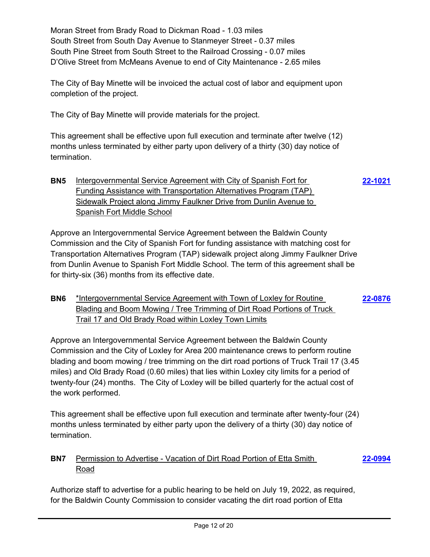Moran Street from Brady Road to Dickman Road - 1.03 miles South Street from South Day Avenue to Stanmeyer Street - 0.37 miles South Pine Street from South Street to the Railroad Crossing - 0.07 miles D'Olive Street from McMeans Avenue to end of City Maintenance - 2.65 miles

The City of Bay Minette will be invoiced the actual cost of labor and equipment upon completion of the project.

The City of Bay Minette will provide materials for the project.

This agreement shall be effective upon full execution and terminate after twelve (12) months unless terminated by either party upon delivery of a thirty (30) day notice of termination.

### **BN5** Intergovernmental Service Agreement with City of Spanish Fort for Funding Assistance with Transportation Alternatives Program (TAP) Sidewalk Project along Jimmy Faulkner Drive from Dunlin Avenue to Spanish Fort Middle School **[22-1021](http://baldwincountyal.legistar.com/gateway.aspx?m=l&id=/matter.aspx?key=23732)**

Approve an Intergovernmental Service Agreement between the Baldwin County Commission and the City of Spanish Fort for funding assistance with matching cost for Transportation Alternatives Program (TAP) sidewalk project along Jimmy Faulkner Drive from Dunlin Avenue to Spanish Fort Middle School. The term of this agreement shall be for thirty-six (36) months from its effective date.

### **BN6** \*Intergovernmental Service Agreement with Town of Loxley for Routine Blading and Boom Mowing / Tree Trimming of Dirt Road Portions of Truck Trail 17 and Old Brady Road within Loxley Town Limits **[22-0876](http://baldwincountyal.legistar.com/gateway.aspx?m=l&id=/matter.aspx?key=23587)**

Approve an Intergovernmental Service Agreement between the Baldwin County Commission and the City of Loxley for Area 200 maintenance crews to perform routine blading and boom mowing / tree trimming on the dirt road portions of Truck Trail 17 (3.45 miles) and Old Brady Road (0.60 miles) that lies within Loxley city limits for a period of twenty-four (24) months. The City of Loxley will be billed quarterly for the actual cost of the work performed.

This agreement shall be effective upon full execution and terminate after twenty-four (24) months unless terminated by either party upon the delivery of a thirty (30) day notice of termination.

### **BN7** Permission to Advertise - Vacation of Dirt Road Portion of Etta Smith Road **[22-0994](http://baldwincountyal.legistar.com/gateway.aspx?m=l&id=/matter.aspx?key=23705)**

Authorize staff to advertise for a public hearing to be held on July 19, 2022, as required, for the Baldwin County Commission to consider vacating the dirt road portion of Etta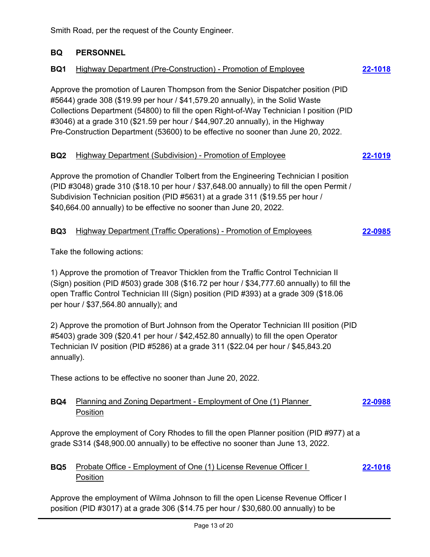Smith Road, per the request of the County Engineer.

### **BQ PERSONNEL**

| BQ1                                                                                                                                                                                                                                                                                                                  | <b>Highway Department (Pre-Construction) - Promotion of Employee</b>                                                                                                                                                                                                                                                                                                                                                                    | 22-1018 |  |
|----------------------------------------------------------------------------------------------------------------------------------------------------------------------------------------------------------------------------------------------------------------------------------------------------------------------|-----------------------------------------------------------------------------------------------------------------------------------------------------------------------------------------------------------------------------------------------------------------------------------------------------------------------------------------------------------------------------------------------------------------------------------------|---------|--|
|                                                                                                                                                                                                                                                                                                                      | Approve the promotion of Lauren Thompson from the Senior Dispatcher position (PID)<br>#5644) grade 308 (\$19.99 per hour / \$41,579.20 annually), in the Solid Waste<br>Collections Department (54800) to fill the open Right-of-Way Technician I position (PID<br>#3046) at a grade 310 (\$21.59 per hour / \$44,907.20 annually), in the Highway<br>Pre-Construction Department (53600) to be effective no sooner than June 20, 2022. |         |  |
| BQ <sub>2</sub>                                                                                                                                                                                                                                                                                                      | <b>Highway Department (Subdivision) - Promotion of Employee</b>                                                                                                                                                                                                                                                                                                                                                                         | 22-1019 |  |
|                                                                                                                                                                                                                                                                                                                      | Approve the promotion of Chandler Tolbert from the Engineering Technician I position<br>(PID #3048) grade 310 (\$18.10 per hour / \$37,648.00 annually) to fill the open Permit /<br>Subdivision Technician position (PID #5631) at a grade 311 (\$19.55 per hour /<br>\$40,664.00 annually) to be effective no sooner than June 20, 2022.                                                                                              |         |  |
| BQ3                                                                                                                                                                                                                                                                                                                  | Highway Department (Traffic Operations) - Promotion of Employees                                                                                                                                                                                                                                                                                                                                                                        | 22-0985 |  |
|                                                                                                                                                                                                                                                                                                                      | Take the following actions:                                                                                                                                                                                                                                                                                                                                                                                                             |         |  |
| 1) Approve the promotion of Treavor Thicklen from the Traffic Control Technician II<br>(Sign) position (PID #503) grade 308 (\$16.72 per hour / \$34,777.60 annually) to fill the<br>open Traffic Control Technician III (Sign) position (PID #393) at a grade 309 (\$18.06<br>per hour / \$37,564.80 annually); and |                                                                                                                                                                                                                                                                                                                                                                                                                                         |         |  |
|                                                                                                                                                                                                                                                                                                                      | 2) Approve the promotion of Burt Johnson from the Operator Technician III position (PID<br>#5403) grade 309 (\$20.41 per hour / \$42,452.80 annually) to fill the open Operator<br>Technician IV position (PID #5286) at a grade 311 (\$22.04 per hour / \$45,843.20<br>annually).                                                                                                                                                      |         |  |
|                                                                                                                                                                                                                                                                                                                      | These actions to be effective no sooner than June 20, 2022.                                                                                                                                                                                                                                                                                                                                                                             |         |  |
| BQ4                                                                                                                                                                                                                                                                                                                  | Planning and Zoning Department - Employment of One (1) Planner<br><b>Position</b>                                                                                                                                                                                                                                                                                                                                                       | 22-0988 |  |
|                                                                                                                                                                                                                                                                                                                      | Approve the employment of Cory Rhodes to fill the open Planner position (PID #977) at a<br>grade S314 (\$48,900.00 annually) to be effective no sooner than June 13, 2022.                                                                                                                                                                                                                                                              |         |  |
| BQ <sub>5</sub>                                                                                                                                                                                                                                                                                                      | Probate Office - Employment of One (1) License Revenue Officer I<br><b>Position</b>                                                                                                                                                                                                                                                                                                                                                     | 22-1016 |  |

Approve the employment of Wilma Johnson to fill the open License Revenue Officer I position (PID #3017) at a grade 306 (\$14.75 per hour / \$30,680.00 annually) to be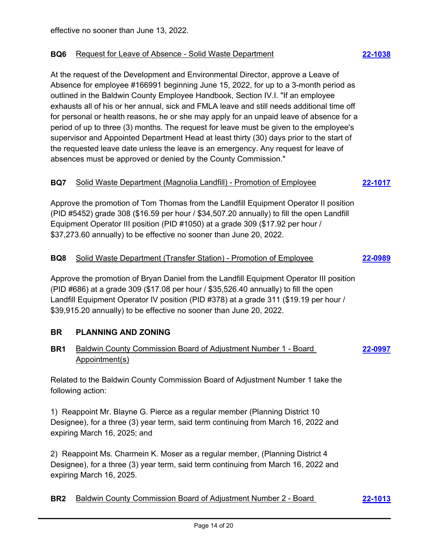### **BQ6** Request for Leave of Absence - Solid Waste Department **[22-1038](http://baldwincountyal.legistar.com/gateway.aspx?m=l&id=/matter.aspx?key=23749)**

At the request of the Development and Environmental Director, approve a Leave of Absence for employee #166991 beginning June 15, 2022, for up to a 3-month period as outlined in the Baldwin County Employee Handbook, Section IV.I. "If an employee exhausts all of his or her annual, sick and FMLA leave and still needs additional time off for personal or health reasons, he or she may apply for an unpaid leave of absence for a period of up to three (3) months. The request for leave must be given to the employee's supervisor and Appointed Department Head at least thirty (30) days prior to the start of the requested leave date unless the leave is an emergency. Any request for leave of absences must be approved or denied by the County Commission."

### **BQ7** Solid Waste Department (Magnolia Landfill) - Promotion of Employee **[22-1017](http://baldwincountyal.legistar.com/gateway.aspx?m=l&id=/matter.aspx?key=23728)**

Approve the promotion of Tom Thomas from the Landfill Equipment Operator II position (PID #5452) grade 308 (\$16.59 per hour / \$34,507.20 annually) to fill the open Landfill Equipment Operator III position (PID #1050) at a grade 309 (\$17.92 per hour / \$37,273.60 annually) to be effective no sooner than June 20, 2022.

### **BQ8** Solid Waste Department (Transfer Station) - Promotion of Employee **[22-0989](http://baldwincountyal.legistar.com/gateway.aspx?m=l&id=/matter.aspx?key=23700)**

Approve the promotion of Bryan Daniel from the Landfill Equipment Operator III position (PID #686) at a grade 309 (\$17.08 per hour / \$35,526.40 annually) to fill the open Landfill Equipment Operator IV position (PID #378) at a grade 311 (\$19.19 per hour / \$39,915.20 annually) to be effective no sooner than June 20, 2022.

### **BR PLANNING AND ZONING**

#### **BR1** Baldwin County Commission Board of Adjustment Number 1 - Board Appointment(s) **[22-0997](http://baldwincountyal.legistar.com/gateway.aspx?m=l&id=/matter.aspx?key=23708)**

Related to the Baldwin County Commission Board of Adjustment Number 1 take the following action:

1) Reappoint Mr. Blayne G. Pierce as a regular member (Planning District 10 Designee), for a three (3) year term, said term continuing from March 16, 2022 and expiring March 16, 2025; and

2) Reappoint Ms. Charmein K. Moser as a regular member, (Planning District 4 Designee), for a three (3) year term, said term continuing from March 16, 2022 and expiring March 16, 2025.

### **BR2** Baldwin County Commission Board of Adjustment Number 2 - Board **[22-1013](http://baldwincountyal.legistar.com/gateway.aspx?m=l&id=/matter.aspx?key=23724)**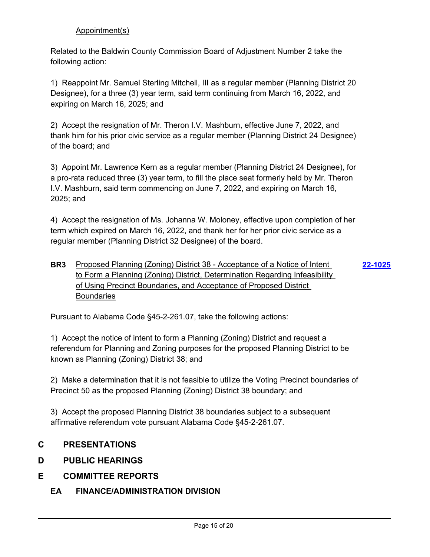### Appointment(s)

Related to the Baldwin County Commission Board of Adjustment Number 2 take the following action:

1) Reappoint Mr. Samuel Sterling Mitchell, III as a regular member (Planning District 20 Designee), for a three (3) year term, said term continuing from March 16, 2022, and expiring on March 16, 2025; and

2) Accept the resignation of Mr. Theron I.V. Mashburn, effective June 7, 2022, and thank him for his prior civic service as a regular member (Planning District 24 Designee) of the board; and

3) Appoint Mr. Lawrence Kern as a regular member (Planning District 24 Designee), for a pro-rata reduced three (3) year term, to fill the place seat formerly held by Mr. Theron I.V. Mashburn, said term commencing on June 7, 2022, and expiring on March 16, 2025; and

4) Accept the resignation of Ms. Johanna W. Moloney, effective upon completion of her term which expired on March 16, 2022, and thank her for her prior civic service as a regular member (Planning District 32 Designee) of the board.

**BR3** Proposed Planning (Zoning) District 38 - Acceptance of a Notice of Intent to Form a Planning (Zoning) District, Determination Regarding Infeasibility of Using Precinct Boundaries, and Acceptance of Proposed District **Boundaries [22-1025](http://baldwincountyal.legistar.com/gateway.aspx?m=l&id=/matter.aspx?key=23736)**

Pursuant to Alabama Code §45-2-261.07, take the following actions:

1) Accept the notice of intent to form a Planning (Zoning) District and request a referendum for Planning and Zoning purposes for the proposed Planning District to be known as Planning (Zoning) District 38; and

2) Make a determination that it is not feasible to utilize the Voting Precinct boundaries of Precinct 50 as the proposed Planning (Zoning) District 38 boundary; and

3) Accept the proposed Planning District 38 boundaries subject to a subsequent affirmative referendum vote pursuant Alabama Code §45-2-261.07.

### **C PRESENTATIONS**

**D PUBLIC HEARINGS**

# **E COMMITTEE REPORTS**

**EA FINANCE/ADMINISTRATION DIVISION**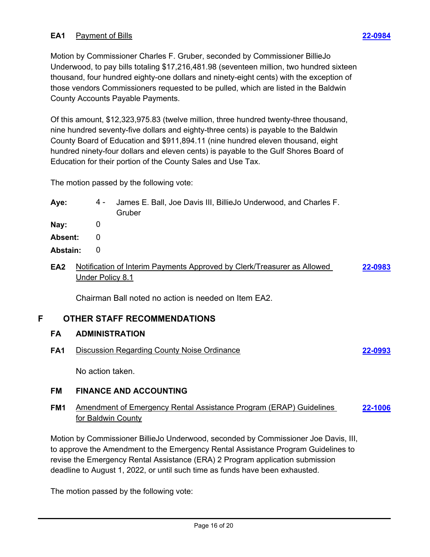### **EA1** Payment of Bills **[22-0984](http://baldwincountyal.legistar.com/gateway.aspx?m=l&id=/matter.aspx?key=23695)**

Motion by Commissioner Charles F. Gruber, seconded by Commissioner BillieJo Underwood, to pay bills totaling \$17,216,481.98 (seventeen million, two hundred sixteen thousand, four hundred eighty-one dollars and ninety-eight cents) with the exception of those vendors Commissioners requested to be pulled, which are listed in the Baldwin County Accounts Payable Payments.

Of this amount, \$12,323,975.83 (twelve million, three hundred twenty-three thousand, nine hundred seventy-five dollars and eighty-three cents) is payable to the Baldwin County Board of Education and \$911,894.11 (nine hundred eleven thousand, eight hundred ninety-four dollars and eleven cents) is payable to the Gulf Shores Board of Education for their portion of the County Sales and Use Tax.

The motion passed by the following vote:

|          | Aye:            |   | 4 -                     | James E. Ball, Joe Davis III, BillieJo Underwood, and Charles F.<br>Gruber |         |
|----------|-----------------|---|-------------------------|----------------------------------------------------------------------------|---------|
|          | Nay:            |   | 0                       |                                                                            |         |
|          | Absent:         |   | 0                       |                                                                            |         |
| Abstain: |                 | 0 |                         |                                                                            |         |
|          | EA <sub>2</sub> |   | <b>Under Policy 8.1</b> | Notification of Interim Payments Approved by Clerk/Treasurer as Allowed    | 22-0983 |
|          |                 |   |                         | Chairman Ball noted no action is needed on Item EA2.                       |         |
| F        |                 |   |                         | <b>OTHER STAFF RECOMMENDATIONS</b>                                         |         |
|          | <b>FA</b>       |   |                         | <b>ADMINISTRATION</b>                                                      |         |
|          | FA <sub>1</sub> |   |                         | <b>Discussion Regarding County Noise Ordinance</b>                         | 22-0993 |
|          |                 |   |                         | No action taken.                                                           |         |
|          | <b>FM</b>       |   |                         | <b>FINANCE AND ACCOUNTING</b>                                              |         |
|          | FM <sub>1</sub> |   |                         | Amendment of Emergency Rental Assistance Program (ERAP) Guidelines         | 22-1006 |

for Baldwin County

Motion by Commissioner BillieJo Underwood, seconded by Commissioner Joe Davis, III, to approve the Amendment to the Emergency Rental Assistance Program Guidelines to revise the Emergency Rental Assistance (ERA) 2 Program application submission deadline to August 1, 2022, or until such time as funds have been exhausted.

The motion passed by the following vote: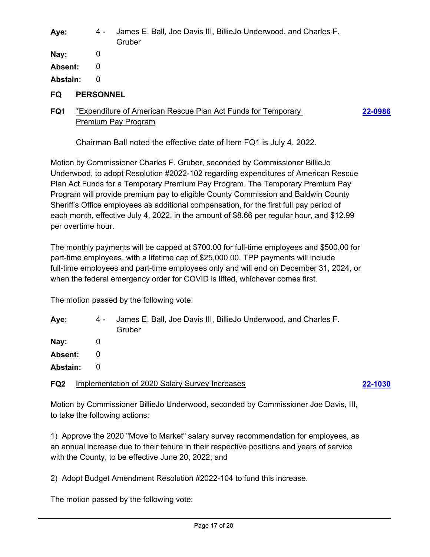4 - James E. Ball, Joe Davis III, BillieJo Underwood, and Charles F. **Gruber Aye:**

**Nay:** 0

**Absent:** 0

**Abstain:** 0

**FQ PERSONNEL**

# **FQ1** \*Expenditure of American Rescue Plan Act Funds for Temporary Premium Pay Program

**[22-0986](http://baldwincountyal.legistar.com/gateway.aspx?m=l&id=/matter.aspx?key=23697)**

Chairman Ball noted the effective date of Item FQ1 is July 4, 2022.

Motion by Commissioner Charles F. Gruber, seconded by Commissioner BillieJo Underwood, to adopt Resolution #2022-102 regarding expenditures of American Rescue Plan Act Funds for a Temporary Premium Pay Program. The Temporary Premium Pay Program will provide premium pay to eligible County Commission and Baldwin County Sheriff's Office employees as additional compensation, for the first full pay period of each month, effective July 4, 2022, in the amount of \$8.66 per regular hour, and \$12.99 per overtime hour.

The monthly payments will be capped at \$700.00 for full-time employees and \$500.00 for part-time employees, with a lifetime cap of \$25,000.00. TPP payments will include full-time employees and part-time employees only and will end on December 31, 2024, or when the federal emergency order for COVID is lifted, whichever comes first.

The motion passed by the following vote:

| Aye:            |          | 4 - James E. Ball, Joe Davis III, BillieJo Underwood, and Charles F. |         |
|-----------------|----------|----------------------------------------------------------------------|---------|
|                 |          | Gruber                                                               |         |
| Nay:            | 0        |                                                                      |         |
| Absent:         | 0        |                                                                      |         |
| Abstain:        | $\Omega$ |                                                                      |         |
| FQ <sub>2</sub> |          | <b>Implementation of 2020 Salary Survey Increases</b>                | 22-1030 |

Motion by Commissioner BillieJo Underwood, seconded by Commissioner Joe Davis, III, to take the following actions:

1) Approve the 2020 "Move to Market" salary survey recommendation for employees, as an annual increase due to their tenure in their respective positions and years of service with the County, to be effective June 20, 2022; and

2) Adopt Budget Amendment Resolution #2022-104 to fund this increase.

The motion passed by the following vote: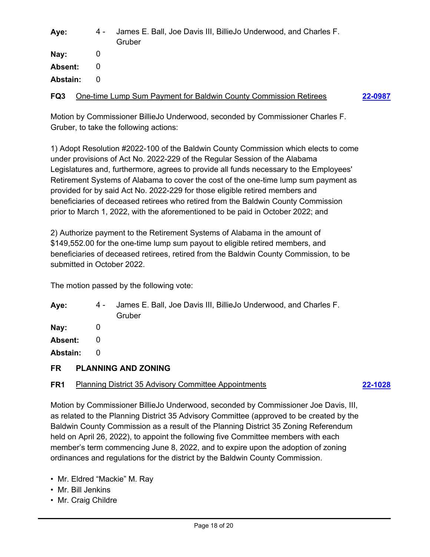| Aye:     |          | 4 - James E. Ball, Joe Davis III, BillieJo Underwood, and Charles F.<br>Gruber |         |
|----------|----------|--------------------------------------------------------------------------------|---------|
| Nay:     |          |                                                                                |         |
| Absent:  |          |                                                                                |         |
| Abstain: | $\Omega$ |                                                                                |         |
| FQ3      |          | One-time Lump Sum Payment for Baldwin County Commission Retirees               | 22-0987 |

Motion by Commissioner BillieJo Underwood, seconded by Commissioner Charles F. Gruber, to take the following actions:

1) Adopt Resolution #2022-100 of the Baldwin County Commission which elects to come under provisions of Act No. 2022-229 of the Regular Session of the Alabama Legislatures and, furthermore, agrees to provide all funds necessary to the Employees' Retirement Systems of Alabama to cover the cost of the one-time lump sum payment as provided for by said Act No. 2022-229 for those eligible retired members and beneficiaries of deceased retirees who retired from the Baldwin County Commission prior to March 1, 2022, with the aforementioned to be paid in October 2022; and

2) Authorize payment to the Retirement Systems of Alabama in the amount of \$149,552.00 for the one-time lump sum payout to eligible retired members, and beneficiaries of deceased retirees, retired from the Baldwin County Commission, to be submitted in October 2022.

The motion passed by the following vote:

| Aye: | 4 - James E. Ball, Joe Davis III, BillieJo Underwood, and Charles F. |
|------|----------------------------------------------------------------------|
|      | Gruber                                                               |

- **Nay:** 0
- Absent: 0
- **Abstain:** 0

# **FR PLANNING AND ZONING**

### **FR1** Planning District 35 Advisory Committee Appointments **[22-1028](http://baldwincountyal.legistar.com/gateway.aspx?m=l&id=/matter.aspx?key=23739)**

Motion by Commissioner BillieJo Underwood, seconded by Commissioner Joe Davis, III, as related to the Planning District 35 Advisory Committee (approved to be created by the Baldwin County Commission as a result of the Planning District 35 Zoning Referendum held on April 26, 2022), to appoint the following five Committee members with each member's term commencing June 8, 2022, and to expire upon the adoption of zoning ordinances and regulations for the district by the Baldwin County Commission.

- Mr. Eldred "Mackie" M. Ray
- Mr. Bill Jenkins
- Mr. Craig Childre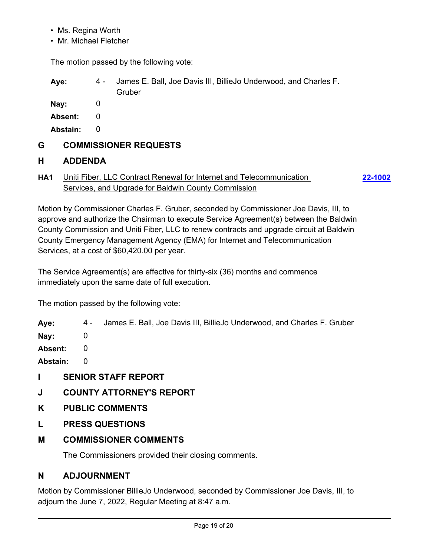- Ms. Regina Worth
- Mr. Michael Fletcher

The motion passed by the following vote:

|   | Aye:           | 4 - | James E. Ball, Joe Davis III, BillieJo Underwood, and Charles F.<br>Gruber |
|---|----------------|-----|----------------------------------------------------------------------------|
|   | Nay:           | 0   |                                                                            |
|   | Absent:        | 0   |                                                                            |
|   | Abstain:       | 0   |                                                                            |
| G |                |     | <b>COMMISSIONER REQUESTS</b>                                               |
| н | <b>ADDENDA</b> |     |                                                                            |

**HA1** Uniti Fiber, LLC Contract Renewal for Internet and Telecommunication Services, and Upgrade for Baldwin County Commission

**[22-1002](http://baldwincountyal.legistar.com/gateway.aspx?m=l&id=/matter.aspx?key=23713)**

Motion by Commissioner Charles F. Gruber, seconded by Commissioner Joe Davis, III, to approve and authorize the Chairman to execute Service Agreement(s) between the Baldwin County Commission and Uniti Fiber, LLC to renew contracts and upgrade circuit at Baldwin County Emergency Management Agency (EMA) for Internet and Telecommunication Services, at a cost of \$60,420.00 per year.

The Service Agreement(s) are effective for thirty-six (36) months and commence immediately upon the same date of full execution.

The motion passed by the following vote:

| Aye: |  | 4 - James E. Ball, Joe Davis III, BillieJo Underwood, and Charles F. Gruber |
|------|--|-----------------------------------------------------------------------------|
|------|--|-----------------------------------------------------------------------------|

**Nay:** 0

Absent: 0

**Abstain:** 0

- **I SENIOR STAFF REPORT**
- **J COUNTY ATTORNEY'S REPORT**
- **K PUBLIC COMMENTS**
- **L PRESS QUESTIONS**
- **M COMMISSIONER COMMENTS**

The Commissioners provided their closing comments.

### **N ADJOURNMENT**

Motion by Commissioner BillieJo Underwood, seconded by Commissioner Joe Davis, III, to adjourn the June 7, 2022, Regular Meeting at 8:47 a.m.